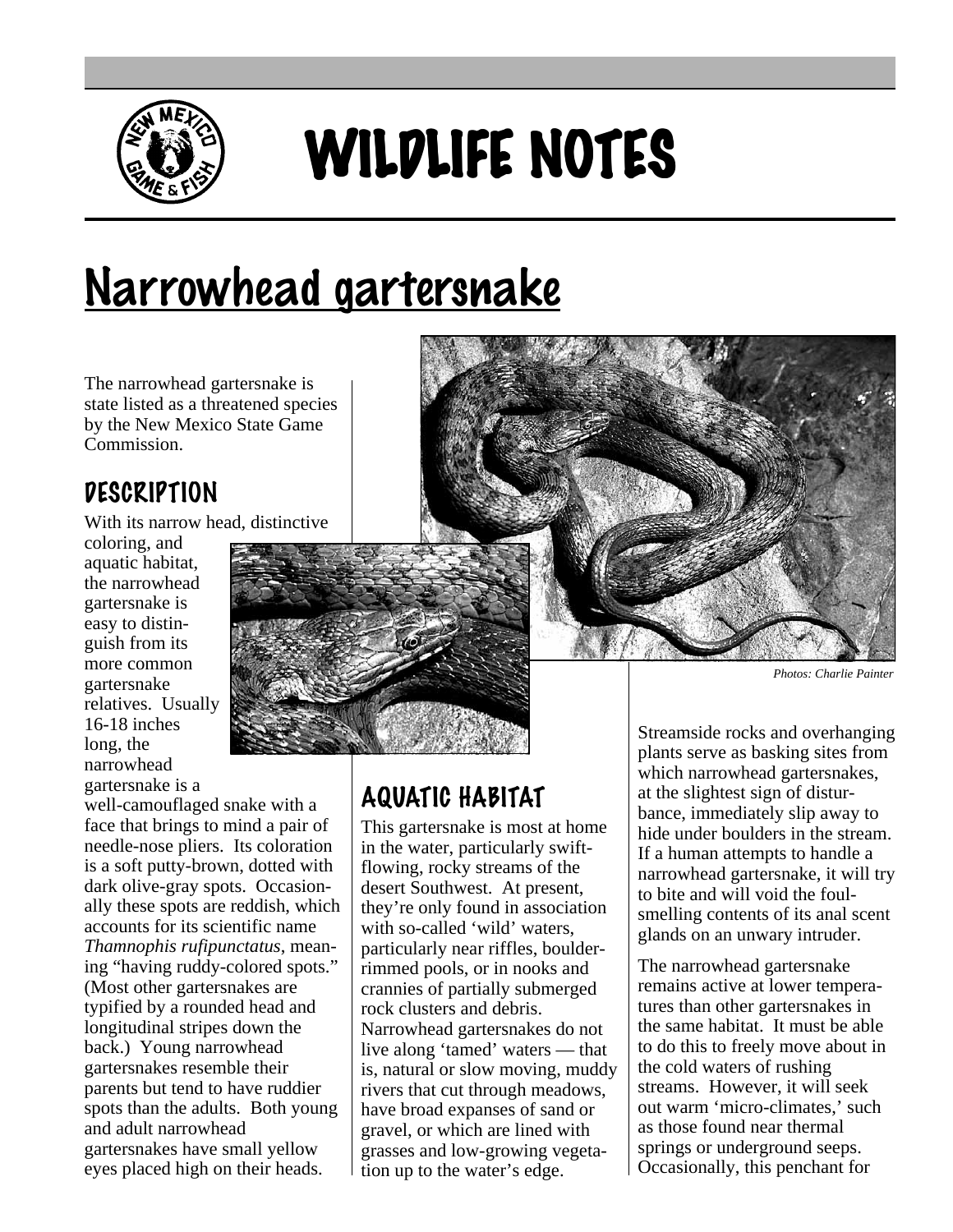

# WILDLIFE NOTES

# Narrowhead gartersnake

The narrowhead gartersnake is state listed as a threatened species by the New Mexico State Game Commission.

### **DESCRIPTION**

With its narrow head, distinctive

coloring, and aquatic habitat, the narrowhead gartersnake is easy to distinguish from its more common gartersnake relatives. Usually 16-18 inches long, the narrowhead gartersnake is a

well-camouflaged snake with a face that brings to mind a pair of needle-nose pliers. Its coloration is a soft putty-brown, dotted with dark olive-gray spots. Occasionally these spots are reddish, which accounts for its scientific name *Thamnophis rufipunctatus*, meaning "having ruddy-colored spots." (Most other gartersnakes are typified by a rounded head and longitudinal stripes down the back.) Young narrowhead gartersnakes resemble their parents but tend to have ruddier spots than the adults. Both young and adult narrowhead gartersnakes have small yellow eyes placed high on their heads.



## AQUATIC HABITAT

This gartersnake is most at home in the water, particularly swiftflowing, rocky streams of the desert Southwest. At present, they're only found in association with so-called 'wild' waters, particularly near riffles, boulderrimmed pools, or in nooks and crannies of partially submerged rock clusters and debris. Narrowhead gartersnakes do not live along 'tamed' waters — that is, natural or slow moving, muddy rivers that cut through meadows, have broad expanses of sand or gravel, or which are lined with grasses and low-growing vegetation up to the water's edge.

Streamside rocks and overhanging plants serve as basking sites from which narrowhead gartersnakes, at the slightest sign of disturbance, immediately slip away to hide under boulders in the stream. If a human attempts to handle a

narrowhead gartersnake, it will try to bite and will void the foulsmelling contents of its anal scent glands on an unwary intruder.

The narrowhead gartersnake remains active at lower temperatures than other gartersnakes in the same habitat. It must be able to do this to freely move about in the cold waters of rushing streams. However, it will seek out warm 'micro-climates,' such as those found near thermal springs or underground seeps. Occasionally, this penchant for